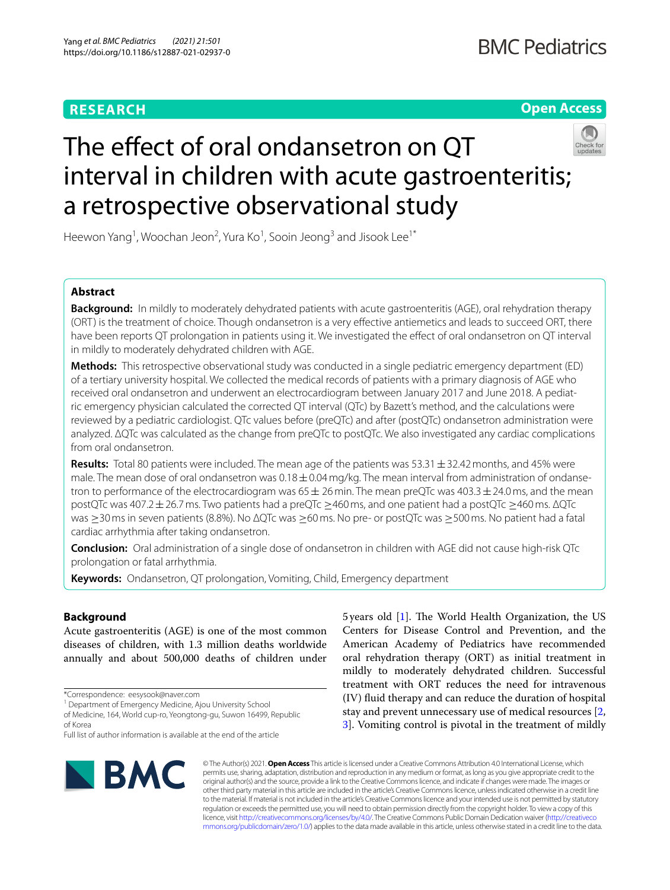## **RESEARCH**

## **Open Access**

# The effect of oral ondansetron on QT interval in children with acute gastroenteritis; a retrospective observational study

Heewon Yang<sup>1</sup>, Woochan Jeon<sup>2</sup>, Yura Ko<sup>1</sup>, Sooin Jeong<sup>3</sup> and Jisook Lee<sup>1\*</sup>

## **Abstract**

**Background:** In mildly to moderately dehydrated patients with acute gastroenteritis (AGE), oral rehydration therapy (ORT) is the treatment of choice. Though ondansetron is a very efective antiemetics and leads to succeed ORT, there have been reports QT prolongation in patients using it. We investigated the effect of oral ondansetron on QT interval in mildly to moderately dehydrated children with AGE.

**Methods:** This retrospective observational study was conducted in a single pediatric emergency department (ED) of a tertiary university hospital. We collected the medical records of patients with a primary diagnosis of AGE who received oral ondansetron and underwent an electrocardiogram between January 2017 and June 2018. A pediatric emergency physician calculated the corrected QT interval (QTc) by Bazett's method, and the calculations were reviewed by a pediatric cardiologist. QTc values before (preQTc) and after (postQTc) ondansetron administration were analyzed. ΔQTc was calculated as the change from preQTc to postQTc. We also investigated any cardiac complications from oral ondansetron.

**Results:** Total 80 patients were included. The mean age of the patients was 53.31  $\pm$  32.42 months, and 45% were male. The mean dose of oral ondansetron was  $0.18 \pm 0.04$  mg/kg. The mean interval from administration of ondansetron to performance of the electrocardiogram was  $65 \pm 26$  min. The mean preQTc was  $403.3 \pm 24.0$  ms, and the mean postQTc was 407.2±26.7ms. Two patients had a preQTc ≥460ms, and one patient had a postQTc ≥460ms. ΔQTc was ≥30ms in seven patients (8.8%). No ΔQTc was ≥60ms. No pre- or postQTc was ≥500ms. No patient had a fatal cardiac arrhythmia after taking ondansetron.

**Conclusion:** Oral administration of a single dose of ondansetron in children with AGE did not cause high-risk QTc prolongation or fatal arrhythmia.

**Keywords:** Ondansetron, QT prolongation, Vomiting, Child, Emergency department

## **Background**

Acute gastroenteritis (AGE) is one of the most common diseases of children, with 1.3 million deaths worldwide annually and about 500,000 deaths of children under

<sup>1</sup> Department of Emergency Medicine, Ajou University School

of Medicine, 164, World cup-ro, Yeongtong-gu, Suwon 16499, Republic of Korea

Full list of author information is available at the end of the article



5 years old [\[1](#page-5-0)]. The World Health Organization, the US Centers for Disease Control and Prevention, and the American Academy of Pediatrics have recommended oral rehydration therapy (ORT) as initial treatment in mildly to moderately dehydrated children. Successful treatment with ORT reduces the need for intravenous (IV) fuid therapy and can reduce the duration of hospital stay and prevent unnecessary use of medical resources [\[2](#page-5-1), [3\]](#page-5-2). Vomiting control is pivotal in the treatment of mildly

© The Author(s) 2021. **Open Access** This article is licensed under a Creative Commons Attribution 4.0 International License, which permits use, sharing, adaptation, distribution and reproduction in any medium or format, as long as you give appropriate credit to the original author(s) and the source, provide a link to the Creative Commons licence, and indicate if changes were made. The images or other third party material in this article are included in the article's Creative Commons licence, unless indicated otherwise in a credit line to the material. If material is not included in the article's Creative Commons licence and your intended use is not permitted by statutory regulation or exceeds the permitted use, you will need to obtain permission directly from the copyright holder. To view a copy of this licence, visit [http://creativecommons.org/licenses/by/4.0/.](http://creativecommons.org/licenses/by/4.0/) The Creative Commons Public Domain Dedication waiver ([http://creativeco](http://creativecommons.org/publicdomain/zero/1.0/) [mmons.org/publicdomain/zero/1.0/](http://creativecommons.org/publicdomain/zero/1.0/)) applies to the data made available in this article, unless otherwise stated in a credit line to the data.

<sup>\*</sup>Correspondence: eesysook@naver.com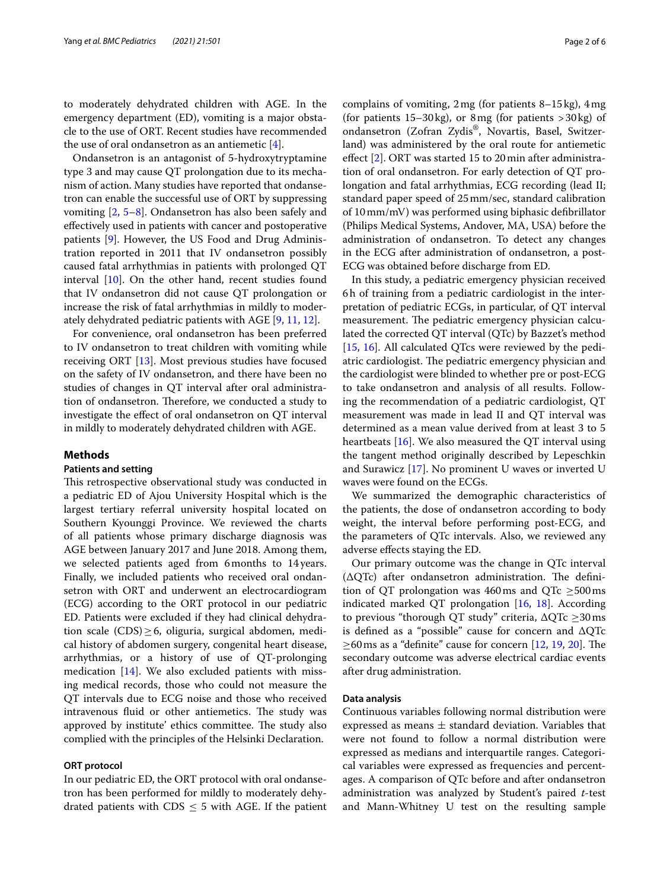to moderately dehydrated children with AGE. In the emergency department (ED), vomiting is a major obstacle to the use of ORT. Recent studies have recommended the use of oral ondansetron as an antiemetic [\[4](#page-5-3)].

Ondansetron is an antagonist of 5-hydroxytryptamine type 3 and may cause QT prolongation due to its mechanism of action. Many studies have reported that ondansetron can enable the successful use of ORT by suppressing vomiting [\[2](#page-5-1), [5](#page-5-4)[–8](#page-5-5)]. Ondansetron has also been safely and efectively used in patients with cancer and postoperative patients [[9\]](#page-5-6). However, the US Food and Drug Administration reported in 2011 that IV ondansetron possibly caused fatal arrhythmias in patients with prolonged QT interval [[10](#page-5-7)]. On the other hand, recent studies found that IV ondansetron did not cause QT prolongation or increase the risk of fatal arrhythmias in mildly to moderately dehydrated pediatric patients with AGE [[9](#page-5-6), [11,](#page-5-8) [12](#page-5-9)].

For convenience, oral ondansetron has been preferred to IV ondansetron to treat children with vomiting while receiving ORT [[13](#page-5-10)]. Most previous studies have focused on the safety of IV ondansetron, and there have been no studies of changes in QT interval after oral administration of ondansetron. Therefore, we conducted a study to investigate the efect of oral ondansetron on QT interval in mildly to moderately dehydrated children with AGE.

#### **Methods**

#### **Patients and setting**

This retrospective observational study was conducted in a pediatric ED of Ajou University Hospital which is the largest tertiary referral university hospital located on Southern Kyounggi Province. We reviewed the charts of all patients whose primary discharge diagnosis was AGE between January 2017 and June 2018. Among them, we selected patients aged from 6months to 14 years. Finally, we included patients who received oral ondansetron with ORT and underwent an electrocardiogram (ECG) according to the ORT protocol in our pediatric ED. Patients were excluded if they had clinical dehydration scale  $(CDS) \geq 6$ , oliguria, surgical abdomen, medical history of abdomen surgery, congenital heart disease, arrhythmias, or a history of use of QT-prolonging medication [\[14](#page-5-11)]. We also excluded patients with missing medical records, those who could not measure the QT intervals due to ECG noise and those who received intravenous fluid or other antiemetics. The study was approved by institute' ethics committee. The study also complied with the principles of the Helsinki Declaration.

#### **ORT protocol**

In our pediatric ED, the ORT protocol with oral ondansetron has been performed for mildly to moderately dehydrated patients with  $CDS \leq 5$  with AGE. If the patient complains of vomiting, 2mg (for patients 8–15kg), 4mg (for patients  $15-30$ kg), or 8 mg (for patients  $>30$ kg) of ondansetron (Zofran Zydis®, Novartis, Basel, Switzerland) was administered by the oral route for antiemetic efect [[2\]](#page-5-1). ORT was started 15 to 20min after administration of oral ondansetron. For early detection of QT prolongation and fatal arrhythmias, ECG recording (lead II; standard paper speed of 25mm/sec, standard calibration of 10mm/mV) was performed using biphasic defbrillator (Philips Medical Systems, Andover, MA, USA) before the administration of ondansetron. To detect any changes in the ECG after administration of ondansetron, a post-ECG was obtained before discharge from ED.

In this study, a pediatric emergency physician received 6h of training from a pediatric cardiologist in the interpretation of pediatric ECGs, in particular, of QT interval measurement. The pediatric emergency physician calculated the corrected QT interval (QTc) by Bazzet's method [[15,](#page-5-12) [16\]](#page-5-13). All calculated QTcs were reviewed by the pediatric cardiologist. The pediatric emergency physician and the cardiologist were blinded to whether pre or post-ECG to take ondansetron and analysis of all results. Following the recommendation of a pediatric cardiologist, QT measurement was made in lead II and QT interval was determined as a mean value derived from at least 3 to 5 heartbeats [\[16](#page-5-13)]. We also measured the QT interval using the tangent method originally described by Lepeschkin and Surawicz [[17\]](#page-5-14). No prominent U waves or inverted U waves were found on the ECGs.

We summarized the demographic characteristics of the patients, the dose of ondansetron according to body weight, the interval before performing post-ECG, and the parameters of QTc intervals. Also, we reviewed any adverse efects staying the ED.

Our primary outcome was the change in QTc interval  $(\Delta QTc)$  after ondansetron administration. The definition of QT prolongation was 460ms and QTc  $\geq$ 500ms indicated marked QT prolongation [[16](#page-5-13), [18\]](#page-5-15). According to previous "thorough QT study" criteria,  $\Delta$ QTc  $\geq$ 30ms is defned as a "possible" cause for concern and ΔQTc  $\geq$ 60 ms as a "definite" cause for concern [\[12](#page-5-9), [19](#page-5-16), [20\]](#page-5-17). The secondary outcome was adverse electrical cardiac events after drug administration.

#### **Data analysis**

Continuous variables following normal distribution were expressed as means  $\pm$  standard deviation. Variables that were not found to follow a normal distribution were expressed as medians and interquartile ranges. Categorical variables were expressed as frequencies and percentages. A comparison of QTc before and after ondansetron administration was analyzed by Student's paired *t*-test and Mann-Whitney U test on the resulting sample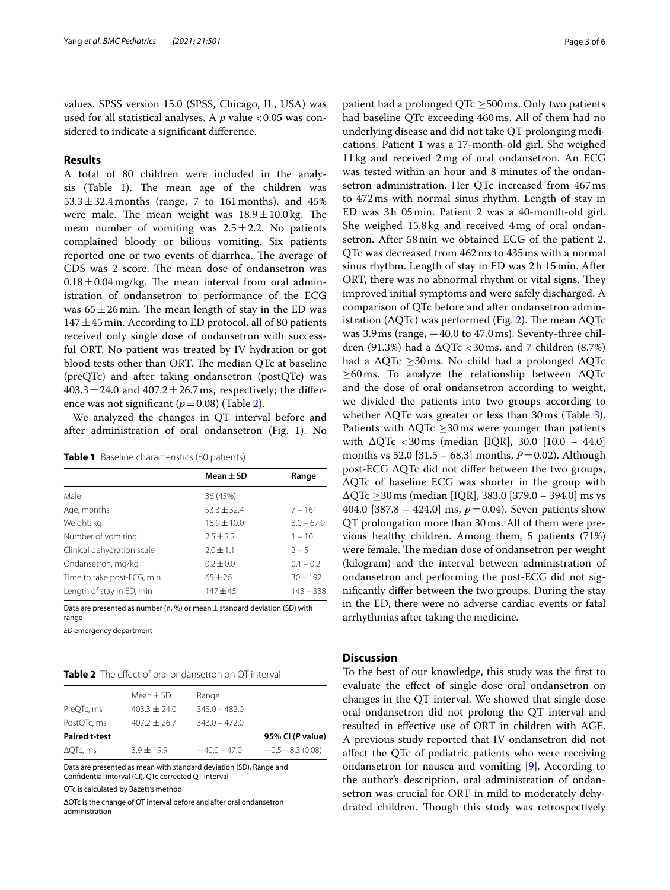values. SPSS version 15.0 (SPSS, Chicago, IL, USA) was used for all statistical analyses. A *p* value <0.05 was considered to indicate a signifcant diference.

#### **Results**

A total of 80 children were included in the analysis (Table  $1$ ). The mean age of the children was  $53.3 \pm 32.4$  months (range, 7 to 161 months), and 45% were male. The mean weight was  $18.9 \pm 10.0$  kg. The mean number of vomiting was  $2.5 \pm 2.2$ . No patients complained bloody or bilious vomiting. Six patients reported one or two events of diarrhea. The average of CDS was 2 score. The mean dose of ondansetron was  $0.18 \pm 0.04$  mg/kg. The mean interval from oral administration of ondansetron to performance of the ECG was  $65 \pm 26$  min. The mean length of stay in the ED was  $147 \pm 45$  min. According to ED protocol, all of 80 patients received only single dose of ondansetron with successful ORT. No patient was treated by IV hydration or got blood tests other than ORT. The median QTc at baseline (preQTc) and after taking ondansetron (postQTc) was  $403.3 \pm 24.0$  and  $407.2 \pm 26.7$  ms, respectively; the difference was not significant  $(p=0.08)$  (Table [2\)](#page-2-1).

We analyzed the changes in QT interval before and after administration of oral ondansetron (Fig. [1](#page-3-0)). No

<span id="page-2-0"></span>

| Table 1 Baseline characteristics (80 patients) |  |  |
|------------------------------------------------|--|--|
|------------------------------------------------|--|--|

|                            | $Mean + SD$     | Range        |
|----------------------------|-----------------|--------------|
| Male                       | 36 (45%)        |              |
| Age, months                | $53.3 \pm 32.4$ | $7 - 161$    |
| Weight, kg                 | $18.9 + 10.0$   | $8.0 - 67.9$ |
| Number of vomiting         | $2.5 + 2.2$     | $1 - 10$     |
| Clinical dehydration scale | $2.0 + 1.1$     | $2 - 5$      |
| Ondansetron, mg/kg         | $0.2 + 0.0$     | $0.1 - 0.2$  |
| Time to take post-ECG, min | $65 + 26$       | $30 - 192$   |
| Length of stay in ED, min  | $147 + 45$      | $143 - 338$  |

Data are presented as number (n, %) or mean  $\pm$  standard deviation (SD) with range

*ED* emergency department

#### <span id="page-2-1"></span>**Table 2** The effect of oral ondansetron on QT interval

|                      | Mean $\pm$ SD    | Range           |                    |
|----------------------|------------------|-----------------|--------------------|
| PreQTc, ms           | $403.3 + 24.0$   | $343.0 - 482.0$ |                    |
| PostQTc, ms          | $407.2 \pm 26.7$ | $343.0 - 472.0$ |                    |
| <b>Paired t-test</b> |                  |                 | 95% CI (P value)   |
| $\Delta$ QTc, ms     | $3.9 + 19.9$     | $-40.0 - 47.0$  | $-0.5 - 8.3(0.08)$ |

Data are presented as mean with standard deviation (SD), Range and Confdential interval (CI). QTc corrected QT interval

QTc is calculated by Bazett's method

ΔQTc is the change of QT interval before and after oral ondansetron administration

patient had a prolonged QTc  $\geq$ 500ms. Only two patients had baseline QTc exceeding 460ms. All of them had no underlying disease and did not take QT prolonging medications. Patient 1 was a 17-month-old girl. She weighed 11kg and received 2mg of oral ondansetron. An ECG was tested within an hour and 8 minutes of the ondansetron administration. Her QTc increased from 467ms to 472ms with normal sinus rhythm. Length of stay in ED was 3h 05min. Patient 2 was a 40-month-old girl. She weighed 15.8kg and received 4mg of oral ondansetron. After 58min we obtained ECG of the patient 2. QTc was decreased from 462ms to 435ms with a normal sinus rhythm. Length of stay in ED was 2h 15min. After ORT, there was no abnormal rhythm or vital signs. They improved initial symptoms and were safely discharged. A comparison of QTc before and after ondansetron administration ( $\Delta$ QTc) was performed (Fig. [2\)](#page-3-1). The mean  $\Delta$ QTc was  $3.9 \text{ ms}$  (range,  $-40.0 \text{ to } 47.0 \text{ ms}$ ). Seventy-three children (91.3%) had a  $\Delta$ QTc <30ms, and 7 children (8.7%) had a  $\Delta$ QTc  $\geq$ 30ms. No child had a prolonged  $\Delta$ QTc  $\geq$ 60ms. To analyze the relationship between  $\Delta$ QTc and the dose of oral ondansetron according to weight, we divided the patients into two groups according to whether  $\Delta$ QTc was greater or less than [3](#page-3-2)0 ms (Table 3). Patients with  $\Delta$ QTc  $\geq$ 30 ms were younger than patients with  $ΔQTc < 30$  ms (median [IQR], 30.0 [10.0 – 44.0] months vs 52.0 [31.5 – 68.3] months,  $P = 0.02$ ). Although post-ECG ΔQTc did not difer between the two groups, ΔQTc of baseline ECG was shorter in the group with ΔQTc ≥30ms (median [IQR], 383.0 [379.0 – 394.0] ms vs 404.0 [387.8 – 424.0] ms, *p*=0.04). Seven patients show QT prolongation more than 30ms. All of them were previous healthy children. Among them, 5 patients (71%) were female. The median dose of ondansetron per weight (kilogram) and the interval between administration of ondansetron and performing the post-ECG did not signifcantly difer between the two groups. During the stay in the ED, there were no adverse cardiac events or fatal arrhythmias after taking the medicine.

### **Discussion**

To the best of our knowledge, this study was the frst to evaluate the efect of single dose oral ondansetron on changes in the QT interval. We showed that single dose oral ondansetron did not prolong the QT interval and resulted in efective use of ORT in children with AGE. A previous study reported that IV ondansetron did not afect the QTc of pediatric patients who were receiving ondansetron for nausea and vomiting [[9\]](#page-5-6). According to the author's description, oral administration of ondansetron was crucial for ORT in mild to moderately dehydrated children. Though this study was retrospectively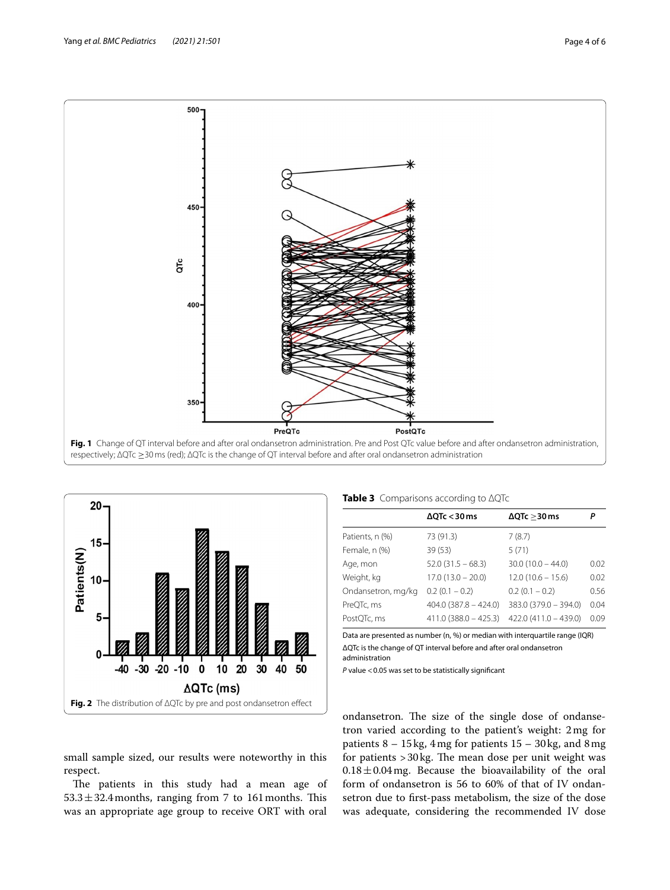

<span id="page-3-0"></span>

<span id="page-3-2"></span>

| Table 3 Comparisons according to AQTc |  |
|---------------------------------------|--|
|                                       |  |

|                    | $\Delta$ QTc < 30 ms    | $\Delta$ QTc $>$ 30 ms  |      |
|--------------------|-------------------------|-------------------------|------|
| Patients, n (%)    | 73 (91.3)               | 7(8.7)                  |      |
| Female, n (%)      | 39(53)                  | 5(71)                   |      |
| Age, mon           | $52.0(31.5 - 68.3)$     | $30.0(10.0 - 44.0)$     | 0.02 |
| Weight, kg         | $17.0(13.0 - 20.0)$     | $12.0(10.6 - 15.6)$     | 0.02 |
| Ondansetron, mg/kg | $0.2(0.1 - 0.2)$        | $0.2(0.1 - 0.2)$        | 0.56 |
| PreQTc, ms         | $404.0$ (387.8 - 424.0) | $383.0 (379.0 - 394.0)$ | 0.04 |
| PostQTc, ms        | $411.0(388.0 - 425.3)$  | $422.0(411.0 - 439.0)$  | 0.09 |
|                    |                         |                         |      |

Data are presented as number (n, %) or median with interquartile range (IQR) ΔQTc is the change of QT interval before and after oral ondansetron administration

*P* value <0.05 was set to be statistically signifcant

<span id="page-3-1"></span>small sample sized, our results were noteworthy in this respect.

The patients in this study had a mean age of  $53.3 \pm 32.4$  months, ranging from 7 to 161 months. This was an appropriate age group to receive ORT with oral ondansetron. The size of the single dose of ondansetron varied according to the patient's weight: 2mg for patients 8 – 15kg, 4mg for patients 15 – 30kg, and 8mg for patients  $>$  30 kg. The mean dose per unit weight was  $0.18 \pm 0.04$  mg. Because the bioavailability of the oral form of ondansetron is 56 to 60% of that of IV ondansetron due to frst-pass metabolism, the size of the dose was adequate, considering the recommended IV dose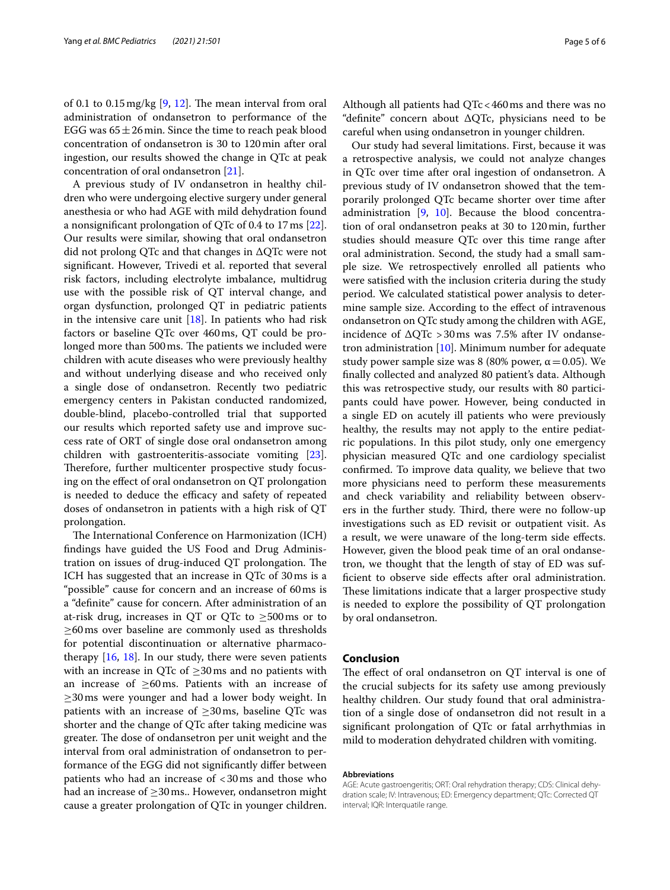of 0.1 to 0.15 mg/kg  $[9, 12]$  $[9, 12]$  $[9, 12]$  $[9, 12]$ . The mean interval from oral administration of ondansetron to performance of the EGG was  $65 \pm 26$  min. Since the time to reach peak blood concentration of ondansetron is 30 to 120min after oral ingestion, our results showed the change in QTc at peak concentration of oral ondansetron [[21\]](#page-5-18).

A previous study of IV ondansetron in healthy children who were undergoing elective surgery under general anesthesia or who had AGE with mild dehydration found a nonsignifcant prolongation of QTc of 0.4 to 17ms [\[22](#page-5-19)]. Our results were similar, showing that oral ondansetron did not prolong QTc and that changes in ΔQTc were not signifcant. However, Trivedi et al. reported that several risk factors, including electrolyte imbalance, multidrug use with the possible risk of QT interval change, and organ dysfunction, prolonged QT in pediatric patients in the intensive care unit  $[18]$  $[18]$ . In patients who had risk factors or baseline QTc over 460ms, QT could be prolonged more than 500 ms. The patients we included were children with acute diseases who were previously healthy and without underlying disease and who received only a single dose of ondansetron. Recently two pediatric emergency centers in Pakistan conducted randomized, double-blind, placebo-controlled trial that supported our results which reported safety use and improve success rate of ORT of single dose oral ondansetron among children with gastroenteritis-associate vomiting [\[23](#page-5-20)]. Therefore, further multicenter prospective study focusing on the efect of oral ondansetron on QT prolongation is needed to deduce the efficacy and safety of repeated doses of ondansetron in patients with a high risk of QT prolongation.

The International Conference on Harmonization (ICH) fndings have guided the US Food and Drug Administration on issues of drug-induced  $QT$  prolongation. The ICH has suggested that an increase in QTc of 30ms is a "possible" cause for concern and an increase of 60ms is a "defnite" cause for concern. After administration of an at-risk drug, increases in QT or QTc to  $\geq$ 500ms or to ≥60ms over baseline are commonly used as thresholds for potential discontinuation or alternative pharmacotherapy  $[16, 18]$  $[16, 18]$  $[16, 18]$  $[16, 18]$ . In our study, there were seven patients with an increase in QTc of  $\geq$ 30 ms and no patients with an increase of  $\geq 60$  ms. Patients with an increase of ≥30ms were younger and had a lower body weight. In patients with an increase of  $\geq$ 30ms, baseline QTc was shorter and the change of QTc after taking medicine was greater. The dose of ondansetron per unit weight and the interval from oral administration of ondansetron to performance of the EGG did not signifcantly difer between patients who had an increase of <30ms and those who had an increase of  $\geq$ 30ms.. However, ondansetron might cause a greater prolongation of QTc in younger children.

Although all patients had QTc<460ms and there was no "defnite" concern about ΔQTc, physicians need to be careful when using ondansetron in younger children.

Our study had several limitations. First, because it was a retrospective analysis, we could not analyze changes in QTc over time after oral ingestion of ondansetron. A previous study of IV ondansetron showed that the temporarily prolonged QTc became shorter over time after administration [[9,](#page-5-6) [10\]](#page-5-7). Because the blood concentration of oral ondansetron peaks at 30 to 120min, further studies should measure QTc over this time range after oral administration. Second, the study had a small sample size. We retrospectively enrolled all patients who were satisfed with the inclusion criteria during the study period. We calculated statistical power analysis to determine sample size. According to the efect of intravenous ondansetron on QTc study among the children with AGE, incidence of  $\Delta$ QTc > 30 ms was 7.5% after IV ondansetron administration [[10\]](#page-5-7). Minimum number for adequate study power sample size was 8 (80% power,  $\alpha$  = 0.05). We fnally collected and analyzed 80 patient's data. Although this was retrospective study, our results with 80 participants could have power. However, being conducted in a single ED on acutely ill patients who were previously healthy, the results may not apply to the entire pediatric populations. In this pilot study, only one emergency physician measured QTc and one cardiology specialist confrmed. To improve data quality, we believe that two more physicians need to perform these measurements and check variability and reliability between observers in the further study. Third, there were no follow-up investigations such as ED revisit or outpatient visit. As a result, we were unaware of the long-term side efects. However, given the blood peak time of an oral ondansetron, we thought that the length of stay of ED was suffcient to observe side efects after oral administration. These limitations indicate that a larger prospective study is needed to explore the possibility of QT prolongation by oral ondansetron.

#### **Conclusion**

The effect of oral ondansetron on  $QT$  interval is one of the crucial subjects for its safety use among previously healthy children. Our study found that oral administration of a single dose of ondansetron did not result in a signifcant prolongation of QTc or fatal arrhythmias in mild to moderation dehydrated children with vomiting.

#### **Abbreviations**

AGE: Acute gastroengeritis; ORT: Oral rehydration therapy; CDS: Clinical dehydration scale; IV: Intravenous; ED: Emergency department; QTc: Corrected QT interval; IQR: Interquatile range.